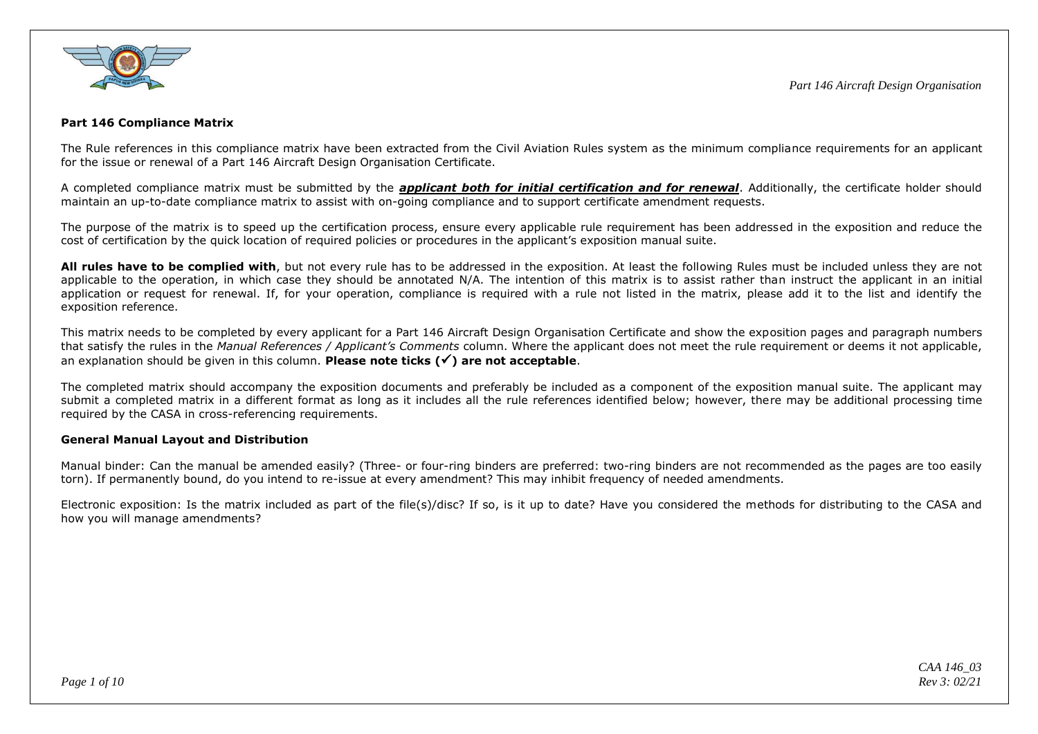

## **Part 146 Compliance Matrix**

The Rule references in this compliance matrix have been extracted from the Civil Aviation Rules system as the minimum compliance requirements for an applicant for the issue or renewal of a Part 146 Aircraft Design Organisation Certificate.

A completed compliance matrix must be submitted by the *applicant both for initial certification and for renewal*. Additionally, the certificate holder should maintain an up-to-date compliance matrix to assist with on-going compliance and to support certificate amendment requests.

The purpose of the matrix is to speed up the certification process, ensure every applicable rule requirement has been addressed in the exposition and reduce the cost of certification by the quick location of required policies or procedures in the applicant's exposition manual suite.

**All rules have to be complied with**, but not every rule has to be addressed in the exposition. At least the following Rules must be included unless they are not applicable to the operation, in which case they should be annotated N/A. The intention of this matrix is to assist rather than instruct the applicant in an initial application or request for renewal. If, for your operation, compliance is required with a rule not listed in the matrix, please add it to the list and identify the exposition reference.

This matrix needs to be completed by every applicant for a Part 146 Aircraft Design Organisation Certificate and show the exposition pages and paragraph numbers that satisfy the rules in the *Manual References / Applicant's Comments* column. Where the applicant does not meet the rule requirement or deems it not applicable, an explanation should be given in this column. **Please note ticks () are not acceptable**.

The completed matrix should accompany the exposition documents and preferably be included as a component of the exposition manual suite. The applicant may submit a completed matrix in a different format as long as it includes all the rule references identified below; however, there may be additional processing time required by the CASA in cross-referencing requirements.

## **General Manual Layout and Distribution**

Manual binder: Can the manual be amended easily? (Three- or four-ring binders are preferred: two-ring binders are not recommended as the pages are too easily torn). If permanently bound, do you intend to re-issue at every amendment? This may inhibit frequency of needed amendments.

Electronic exposition: Is the matrix included as part of the file(s)/disc? If so, is it up to date? Have you considered the methods for distributing to the CASA and how you will manage amendments?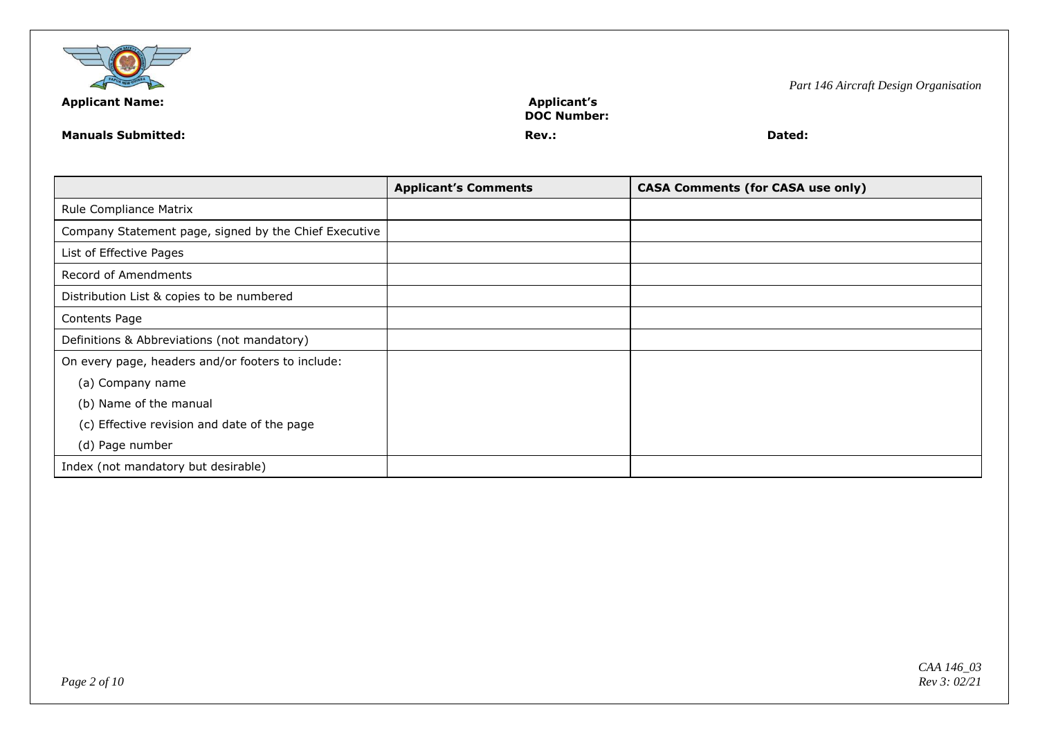

**DOC Number:**

**Manuals Submitted: Rev.: Dated:**

|                                                       | <b>Applicant's Comments</b> | <b>CASA Comments (for CASA use only)</b> |
|-------------------------------------------------------|-----------------------------|------------------------------------------|
| Rule Compliance Matrix                                |                             |                                          |
| Company Statement page, signed by the Chief Executive |                             |                                          |
| List of Effective Pages                               |                             |                                          |
| Record of Amendments                                  |                             |                                          |
| Distribution List & copies to be numbered             |                             |                                          |
| Contents Page                                         |                             |                                          |
| Definitions & Abbreviations (not mandatory)           |                             |                                          |
| On every page, headers and/or footers to include:     |                             |                                          |
| (a) Company name                                      |                             |                                          |
| (b) Name of the manual                                |                             |                                          |
| (c) Effective revision and date of the page           |                             |                                          |
| (d) Page number                                       |                             |                                          |
| Index (not mandatory but desirable)                   |                             |                                          |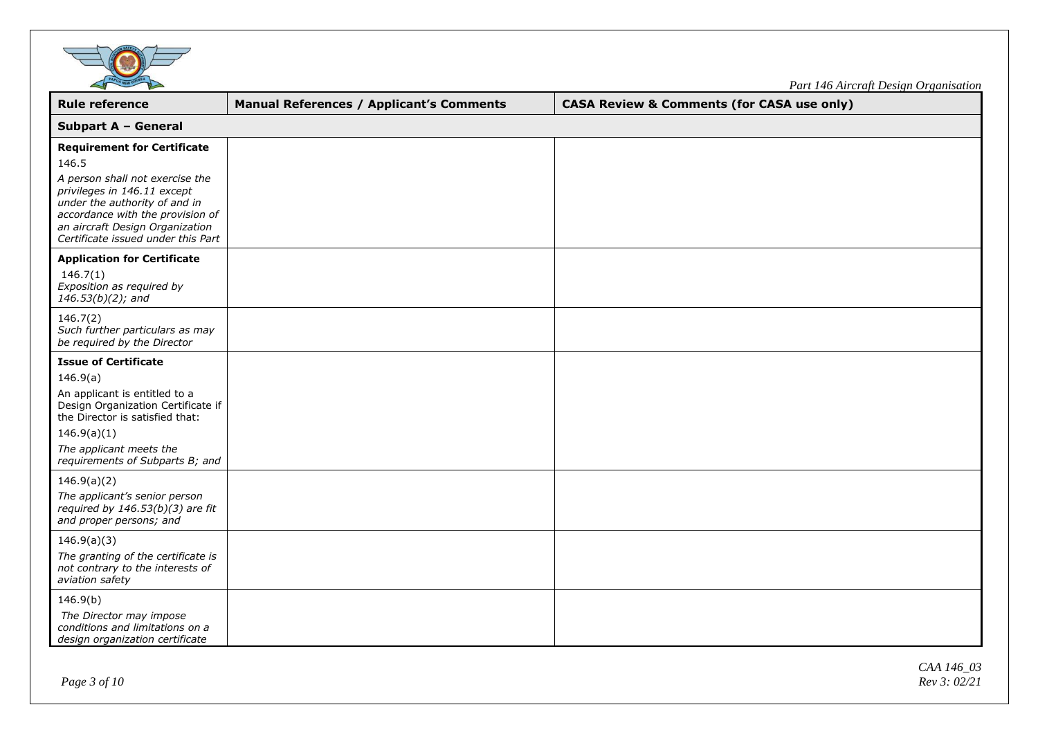

*Part 146 Aircraft Design Organisation*

| <b>Rule reference</b>                                                                                                                                                                                                                                       | <b>Manual References / Applicant's Comments</b> | <b>CASA Review &amp; Comments (for CASA use only)</b> |  |
|-------------------------------------------------------------------------------------------------------------------------------------------------------------------------------------------------------------------------------------------------------------|-------------------------------------------------|-------------------------------------------------------|--|
| <b>Subpart A - General</b>                                                                                                                                                                                                                                  |                                                 |                                                       |  |
| <b>Requirement for Certificate</b><br>146.5<br>A person shall not exercise the<br>privileges in 146.11 except<br>under the authority of and in<br>accordance with the provision of<br>an aircraft Design Organization<br>Certificate issued under this Part |                                                 |                                                       |  |
| <b>Application for Certificate</b><br>146.7(1)<br>Exposition as required by<br>$146.53(b)(2)$ ; and                                                                                                                                                         |                                                 |                                                       |  |
| 146.7(2)<br>Such further particulars as may<br>be required by the Director                                                                                                                                                                                  |                                                 |                                                       |  |
| <b>Issue of Certificate</b><br>146.9(a)<br>An applicant is entitled to a<br>Design Organization Certificate if<br>the Director is satisfied that:<br>146.9(a)(1)<br>The applicant meets the<br>requirements of Subparts B; and                              |                                                 |                                                       |  |
| 146.9(a)(2)<br>The applicant's senior person<br>required by $146.53(b)(3)$ are fit<br>and proper persons; and                                                                                                                                               |                                                 |                                                       |  |
| 146.9(a)(3)<br>The granting of the certificate is<br>not contrary to the interests of<br>aviation safety                                                                                                                                                    |                                                 |                                                       |  |
| 146.9(b)<br>The Director may impose<br>conditions and limitations on a<br>design organization certificate                                                                                                                                                   |                                                 |                                                       |  |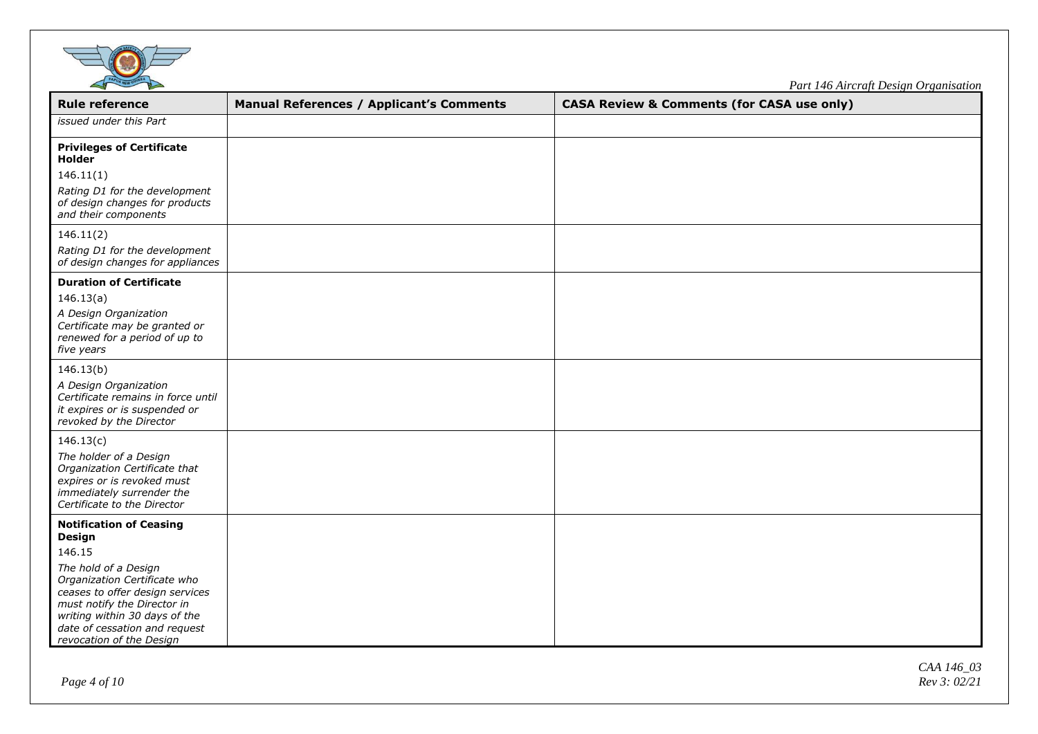

| <b>Rule reference</b>                                                                                                                                                                                                                                                      | <b>Manual References / Applicant's Comments</b> | <b>CASA Review &amp; Comments (for CASA use only)</b> |
|----------------------------------------------------------------------------------------------------------------------------------------------------------------------------------------------------------------------------------------------------------------------------|-------------------------------------------------|-------------------------------------------------------|
| issued under this Part                                                                                                                                                                                                                                                     |                                                 |                                                       |
| <b>Privileges of Certificate</b><br>Holder<br>146.11(1)<br>Rating D1 for the development<br>of design changes for products<br>and their components                                                                                                                         |                                                 |                                                       |
| 146.11(2)<br>Rating D1 for the development<br>of design changes for appliances                                                                                                                                                                                             |                                                 |                                                       |
| <b>Duration of Certificate</b><br>146.13(a)<br>A Design Organization<br>Certificate may be granted or<br>renewed for a period of up to<br>five years                                                                                                                       |                                                 |                                                       |
| 146.13(b)<br>A Design Organization<br>Certificate remains in force until<br>it expires or is suspended or<br>revoked by the Director                                                                                                                                       |                                                 |                                                       |
| 146.13(c)<br>The holder of a Design<br>Organization Certificate that<br>expires or is revoked must<br>immediately surrender the<br>Certificate to the Director                                                                                                             |                                                 |                                                       |
| <b>Notification of Ceasing</b><br>Design<br>146.15<br>The hold of a Design<br>Organization Certificate who<br>ceases to offer design services<br>must notify the Director in<br>writing within 30 days of the<br>date of cessation and request<br>revocation of the Design |                                                 |                                                       |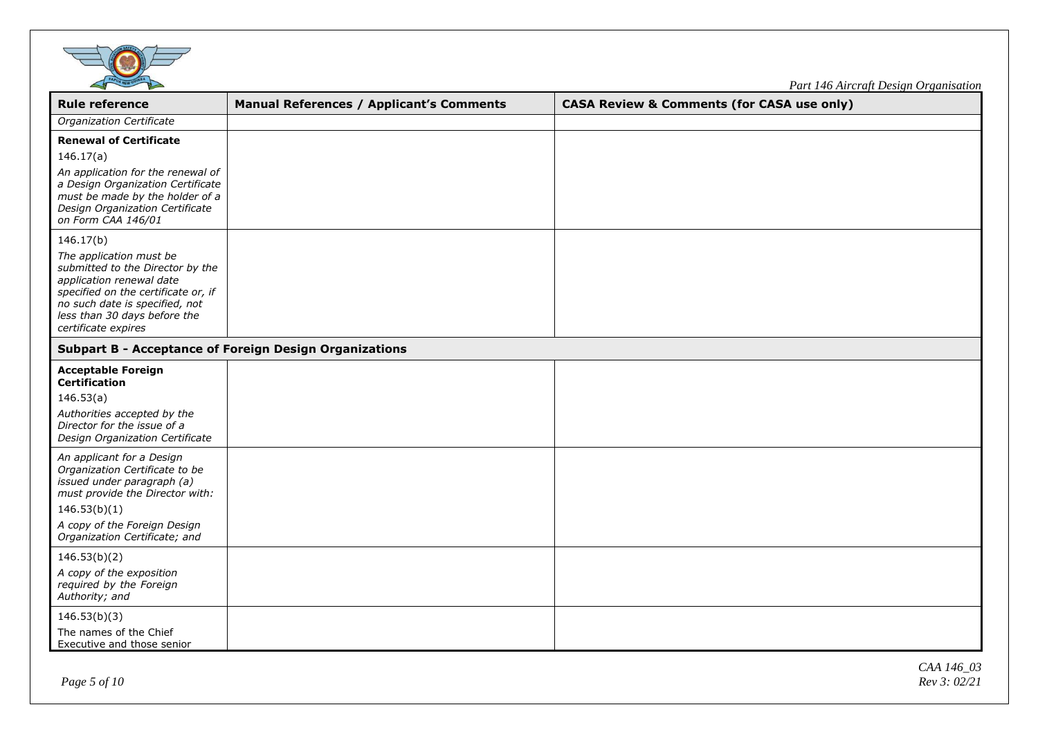

| <b>Rule reference</b>                                                                                                                                                                                                                                                                                                                                                                                                             | <b>Manual References / Applicant's Comments</b>               | <b>CASA Review &amp; Comments (for CASA use only)</b> |  |
|-----------------------------------------------------------------------------------------------------------------------------------------------------------------------------------------------------------------------------------------------------------------------------------------------------------------------------------------------------------------------------------------------------------------------------------|---------------------------------------------------------------|-------------------------------------------------------|--|
| Organization Certificate                                                                                                                                                                                                                                                                                                                                                                                                          |                                                               |                                                       |  |
| <b>Renewal of Certificate</b><br>146.17(a)<br>An application for the renewal of<br>a Design Organization Certificate<br>must be made by the holder of a<br>Design Organization Certificate<br>on Form CAA 146/01<br>146.17(b)<br>The application must be<br>submitted to the Director by the<br>application renewal date<br>specified on the certificate or, if<br>no such date is specified, not<br>less than 30 days before the |                                                               |                                                       |  |
| certificate expires                                                                                                                                                                                                                                                                                                                                                                                                               | <b>Subpart B - Acceptance of Foreign Design Organizations</b> |                                                       |  |
| <b>Acceptable Foreign</b><br><b>Certification</b><br>146.53(a)<br>Authorities accepted by the<br>Director for the issue of a<br>Design Organization Certificate                                                                                                                                                                                                                                                                   |                                                               |                                                       |  |
| An applicant for a Design<br>Organization Certificate to be<br>issued under paragraph (a)<br>must provide the Director with:<br>146.53(b)(1)<br>A copy of the Foreign Design<br>Organization Certificate; and                                                                                                                                                                                                                     |                                                               |                                                       |  |
| 146.53(b)(2)<br>A copy of the exposition<br>required by the Foreign<br>Authority; and                                                                                                                                                                                                                                                                                                                                             |                                                               |                                                       |  |
| 146.53(b)(3)<br>The names of the Chief<br>Executive and those senior                                                                                                                                                                                                                                                                                                                                                              |                                                               |                                                       |  |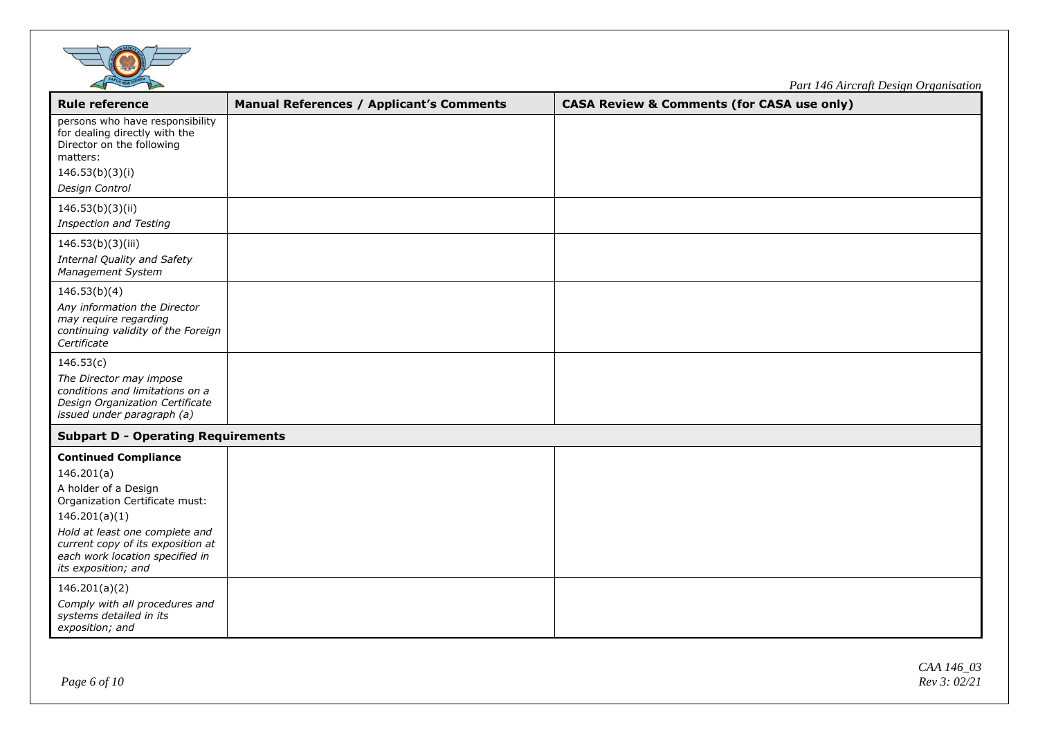

| <b>Rule reference</b>                                                                                                                                                                                                                                 | <b>Manual References / Applicant's Comments</b> | <b>CASA Review &amp; Comments (for CASA use only)</b> |
|-------------------------------------------------------------------------------------------------------------------------------------------------------------------------------------------------------------------------------------------------------|-------------------------------------------------|-------------------------------------------------------|
| persons who have responsibility<br>for dealing directly with the<br>Director on the following<br>matters:<br>146.53(b)(3)(i)                                                                                                                          |                                                 |                                                       |
| Design Control                                                                                                                                                                                                                                        |                                                 |                                                       |
| 146.53(b)(3)(ii)                                                                                                                                                                                                                                      |                                                 |                                                       |
| <b>Inspection and Testing</b>                                                                                                                                                                                                                         |                                                 |                                                       |
| 146.53(b)(3)(iii)<br>Internal Quality and Safety<br>Management System                                                                                                                                                                                 |                                                 |                                                       |
| 146.53(b)(4)<br>Any information the Director<br>may require regarding<br>continuing validity of the Foreign<br>Certificate                                                                                                                            |                                                 |                                                       |
| 146.53(c)<br>The Director may impose<br>conditions and limitations on a<br>Design Organization Certificate<br>issued under paragraph (a)                                                                                                              |                                                 |                                                       |
| <b>Subpart D - Operating Requirements</b>                                                                                                                                                                                                             |                                                 |                                                       |
| <b>Continued Compliance</b><br>146.201(a)<br>A holder of a Design<br>Organization Certificate must:<br>146.201(a)(1)<br>Hold at least one complete and<br>current copy of its exposition at<br>each work location specified in<br>its exposition; and |                                                 |                                                       |
| 146.201(a)(2)<br>Comply with all procedures and<br>systems detailed in its<br>exposition; and                                                                                                                                                         |                                                 |                                                       |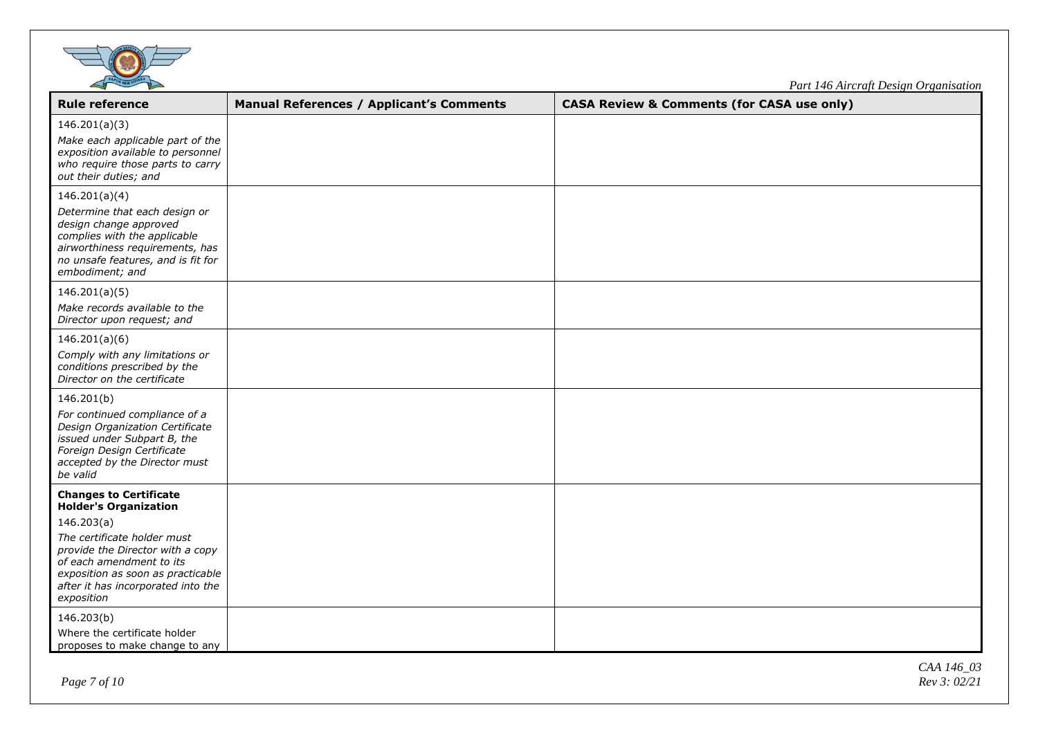

| <b>Rule reference</b>                                                                                                                                                                                                                                               | <b>Manual References / Applicant's Comments</b> | <b>CASA Review &amp; Comments (for CASA use only)</b> |
|---------------------------------------------------------------------------------------------------------------------------------------------------------------------------------------------------------------------------------------------------------------------|-------------------------------------------------|-------------------------------------------------------|
| 146.201(a)(3)<br>Make each applicable part of the<br>exposition available to personnel<br>who require those parts to carry<br>out their duties; and                                                                                                                 |                                                 |                                                       |
| 146.201(a)(4)<br>Determine that each design or<br>design change approved<br>complies with the applicable<br>airworthiness requirements, has<br>no unsafe features, and is fit for<br>embodiment; and                                                                |                                                 |                                                       |
| 146.201(a)(5)<br>Make records available to the<br>Director upon request; and                                                                                                                                                                                        |                                                 |                                                       |
| 146.201(a)(6)<br>Comply with any limitations or<br>conditions prescribed by the<br>Director on the certificate                                                                                                                                                      |                                                 |                                                       |
| 146.201(b)<br>For continued compliance of a<br>Design Organization Certificate<br>issued under Subpart B, the<br>Foreign Design Certificate<br>accepted by the Director must<br>be valid                                                                            |                                                 |                                                       |
| <b>Changes to Certificate</b><br><b>Holder's Organization</b><br>146.203(a)<br>The certificate holder must<br>provide the Director with a copy<br>of each amendment to its<br>exposition as soon as practicable<br>after it has incorporated into the<br>exposition |                                                 |                                                       |
| 146.203(b)<br>Where the certificate holder<br>proposes to make change to any                                                                                                                                                                                        |                                                 |                                                       |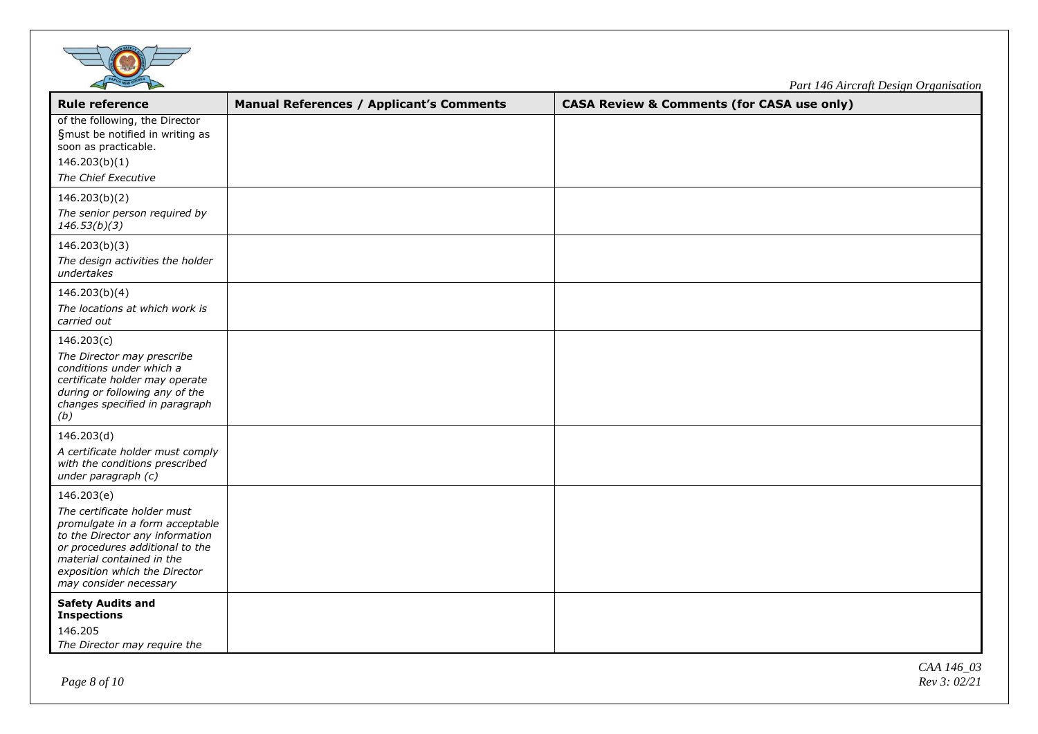

| <b>Rule reference</b>                                                                                                                                                                                                                      | <b>Manual References / Applicant's Comments</b> | <b>CASA Review &amp; Comments (for CASA use only)</b> |
|--------------------------------------------------------------------------------------------------------------------------------------------------------------------------------------------------------------------------------------------|-------------------------------------------------|-------------------------------------------------------|
| of the following, the Director<br>§must be notified in writing as<br>soon as practicable.<br>146.203(b)(1)<br>The Chief Executive                                                                                                          |                                                 |                                                       |
| 146.203(b)(2)<br>The senior person required by<br>146.53(b)(3)                                                                                                                                                                             |                                                 |                                                       |
| 146.203(b)(3)<br>The design activities the holder<br>undertakes                                                                                                                                                                            |                                                 |                                                       |
| 146.203(b)(4)<br>The locations at which work is<br>carried out                                                                                                                                                                             |                                                 |                                                       |
| 146.203(c)<br>The Director may prescribe<br>conditions under which a<br>certificate holder may operate<br>during or following any of the<br>changes specified in paragraph<br>(b)                                                          |                                                 |                                                       |
| 146.203(d)<br>A certificate holder must comply<br>with the conditions prescribed<br>under paragraph (c)                                                                                                                                    |                                                 |                                                       |
| 146.203(e)<br>The certificate holder must<br>promulgate in a form acceptable<br>to the Director any information<br>or procedures additional to the<br>material contained in the<br>exposition which the Director<br>may consider necessary |                                                 |                                                       |
| <b>Safety Audits and</b><br><b>Inspections</b><br>146.205<br>The Director may require the                                                                                                                                                  |                                                 |                                                       |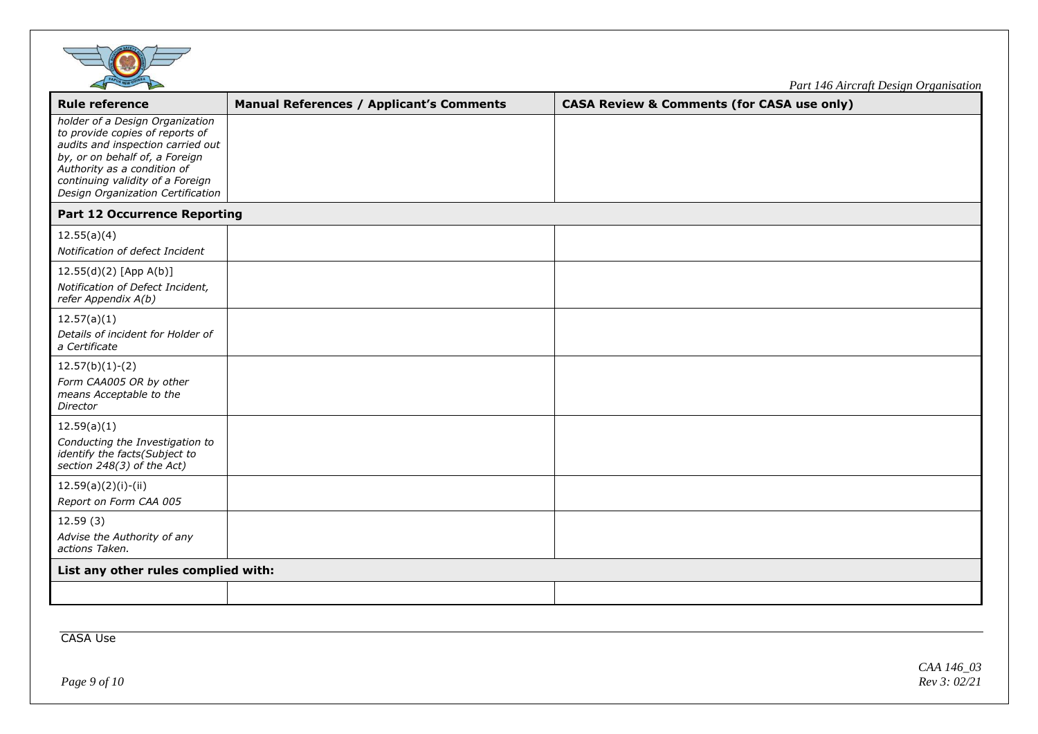

| <b>Rule reference</b>                                                                                                                                                                                                                             | <b>Manual References / Applicant's Comments</b> | <b>CASA Review &amp; Comments (for CASA use only)</b> |  |
|---------------------------------------------------------------------------------------------------------------------------------------------------------------------------------------------------------------------------------------------------|-------------------------------------------------|-------------------------------------------------------|--|
| holder of a Design Organization<br>to provide copies of reports of<br>audits and inspection carried out<br>by, or on behalf of, a Foreign<br>Authority as a condition of<br>continuing validity of a Foreign<br>Design Organization Certification |                                                 |                                                       |  |
| <b>Part 12 Occurrence Reporting</b>                                                                                                                                                                                                               |                                                 |                                                       |  |
| 12.55(a)(4)<br>Notification of defect Incident                                                                                                                                                                                                    |                                                 |                                                       |  |
| 12.55(d)(2) [App A(b)]<br>Notification of Defect Incident,<br>refer Appendix A(b)                                                                                                                                                                 |                                                 |                                                       |  |
| 12.57(a)(1)<br>Details of incident for Holder of<br>a Certificate                                                                                                                                                                                 |                                                 |                                                       |  |
| $12.57(b)(1)-(2)$<br>Form CAA005 OR by other<br>means Acceptable to the<br>Director                                                                                                                                                               |                                                 |                                                       |  |
| 12.59(a)(1)<br>Conducting the Investigation to<br>identify the facts(Subject to<br>section 248(3) of the Act)                                                                                                                                     |                                                 |                                                       |  |
| $12.59(a)(2)(i)-(ii)$<br>Report on Form CAA 005                                                                                                                                                                                                   |                                                 |                                                       |  |
| 12.59(3)<br>Advise the Authority of any<br>actions Taken.                                                                                                                                                                                         |                                                 |                                                       |  |
| List any other rules complied with:                                                                                                                                                                                                               |                                                 |                                                       |  |
|                                                                                                                                                                                                                                                   |                                                 |                                                       |  |

CASA Use